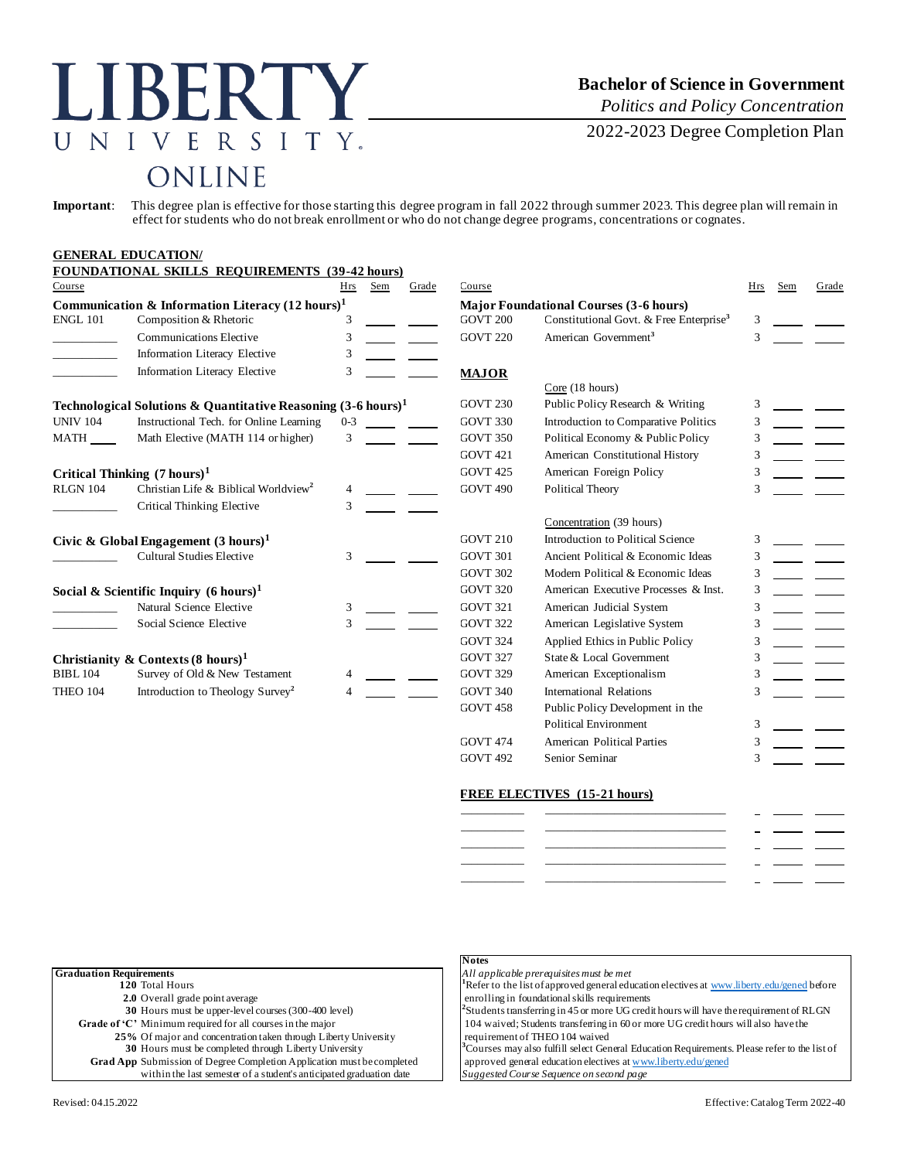# LIBERTY UNIVERSITY. **ONLINE**

## **Bachelor of Science in Government**

*Politics and Policy Concentration*

2022-2023 Degree Completion Plan

**Important**: This degree plan is effective for those starting this degree program in fall 2022 through summer 2023. This degree plan will remain in effect for students who do not break enrollment or who do not change degree programs, concentrations or cognates.

### **GENERAL EDUCATION/**

|                                                             | <b>FOUNDATIONAL SKILLS REQUIREMENTS (39-42 hours)</b>                    |            |                                               |                 |                          |                                                     |     |     |       |
|-------------------------------------------------------------|--------------------------------------------------------------------------|------------|-----------------------------------------------|-----------------|--------------------------|-----------------------------------------------------|-----|-----|-------|
| Course                                                      |                                                                          | <b>Hrs</b> | Sem                                           | Grade           | Course                   |                                                     | Hrs | Sem | Grade |
| Communication & Information Literacy $(12 \text{ hours})^1$ |                                                                          |            | <b>Major Foundational Courses (3-6 hours)</b> |                 |                          |                                                     |     |     |       |
| <b>ENGL 101</b>                                             | Composition & Rhetoric                                                   |            |                                               |                 | <b>GOVT 200</b>          | Constitutional Govt. & Free Enterprise <sup>3</sup> | 3   |     |       |
|                                                             | <b>Communications Elective</b>                                           | 3          |                                               |                 | <b>GOVT 220</b>          | American Government <sup>3</sup>                    | 3   |     |       |
|                                                             | Information Literacy Elective                                            | 3          |                                               |                 |                          |                                                     |     |     |       |
|                                                             | Information Literacy Elective                                            | 3          |                                               |                 | <b>MAJOR</b>             |                                                     |     |     |       |
|                                                             |                                                                          |            |                                               |                 |                          | Core (18 hours)                                     |     |     |       |
|                                                             | Technological Solutions & Quantitative Reasoning $(3-6 \text{ hours})^1$ |            |                                               |                 | <b>GOVT 230</b>          | Public Policy Research & Writing                    | 3   |     |       |
| <b>UNIV 104</b>                                             | Instructional Tech. for Online Learning                                  | $0 - 3$    |                                               |                 | GOVT 330                 | Introduction to Comparative Politics                | 3   |     |       |
| MATH                                                        | Math Elective (MATH 114 or higher)                                       | 3          |                                               |                 | <b>GOVT 350</b>          | Political Economy & Public Policy                   |     |     |       |
|                                                             |                                                                          |            |                                               |                 | GOVT <sub>421</sub>      | American Constitutional History                     |     |     |       |
|                                                             | Critical Thinking $(7 \text{ hours})^1$                                  |            |                                               |                 | <b>GOVT 425</b>          | American Foreign Policy                             |     |     |       |
| <b>RLGN 104</b>                                             | Christian Life & Biblical Worldview <sup>2</sup>                         |            |                                               |                 | <b>GOVT 490</b>          | Political Theory                                    | 3   |     |       |
|                                                             | Critical Thinking Elective                                               | 3          |                                               |                 |                          |                                                     |     |     |       |
|                                                             |                                                                          |            |                                               |                 |                          | Concentration (39 hours)                            |     |     |       |
|                                                             | Civic & Global Engagement $(3 \text{ hours})^1$                          |            |                                               |                 | <b>GOVT 210</b>          | Introduction to Political Science                   | 3   |     |       |
|                                                             | <b>Cultural Studies Elective</b>                                         | 3          |                                               |                 | GOVT 301                 | Ancient Political & Economic Ideas                  | 3   |     |       |
|                                                             |                                                                          |            |                                               |                 | GOVT 302                 | Modern Political & Economic Ideas                   | 3   |     |       |
|                                                             | Social & Scientific Inquiry $(6 \text{ hours})^1$                        |            |                                               |                 | <b>GOVT 320</b>          | American Executive Processes & Inst.                |     |     |       |
|                                                             | Natural Science Elective                                                 | 3          |                                               |                 | GOVT 321                 | American Judicial System                            |     |     |       |
|                                                             | Social Science Elective                                                  | 3          |                                               |                 | <b>GOVT 322</b>          | American Legislative System                         | 3   |     |       |
|                                                             |                                                                          |            |                                               |                 | GOVT 324                 | Applied Ethics in Public Policy                     |     |     |       |
| Christianity & Contexts $(8 \text{ hours})^1$               |                                                                          |            |                                               | <b>GOVT 327</b> | State & Local Government |                                                     |     |     |       |
| <b>BIBL 104</b>                                             | Survey of Old & New Testament                                            |            |                                               |                 | <b>GOVT 329</b>          | American Exceptionalism                             | 3   |     |       |
| THEO 104                                                    | Introduction to Theology Survey <sup>2</sup>                             |            |                                               |                 | <b>GOVT 340</b>          | International Relations                             | 3   |     |       |
|                                                             |                                                                          |            |                                               |                 | GOVT <sub>458</sub>      | Public Policy Development in the                    |     |     |       |
|                                                             |                                                                          |            |                                               |                 |                          | Political Environment                               | 3   |     |       |

### **FREE ELECTIVES (15-21 hours)**

|  | $\sim$ | _______ |  |
|--|--------|---------|--|
|  |        |         |  |
|  | $\sim$ |         |  |
|  | $\sim$ |         |  |
|  | -      |         |  |
|  |        |         |  |

| <b>Graduation Requirements</b>                                                |  |
|-------------------------------------------------------------------------------|--|
| 120 Total Hours                                                               |  |
| 2.0 Overall grade point average                                               |  |
| 30 Hours must be upper-level courses (300-400 level)                          |  |
| Grade of $C'$ Minimum required for all courses in the major                   |  |
| 25% Of major and concentration taken through Liberty University               |  |
| 30 Hours must be completed through Liberty University                         |  |
| <b>Grad App</b> Submission of Degree Completion Application must be completed |  |
| within the last semester of a student's anticipated graduation date           |  |
|                                                                               |  |

#### **Notes**

**Graduation Requirements** *All applicable prerequisites must be met* <sup>1</sup>Refer to the list of approved general education electives [at www.liberty.edu/gened](http://www.liberty.edu/gened) before

GOVT 474 American Political Parties 3 GOVT 492 Senior Seminar 3

enrolling in foundational skills requirements Students transferring in 45 or more UG credit hours will have the requirement of RLGN 104 waived; Students transferring in 60 or more UG credit hours will also have the requirement of THEO 104 waived

<sup>3</sup>Courses may also fulfill select General Education Requirements. Please refer to the list of approved general education electives [at www.liberty.edu/gened](http://www.liberty.edu/gened) **Suggested Course Sequence on second page**